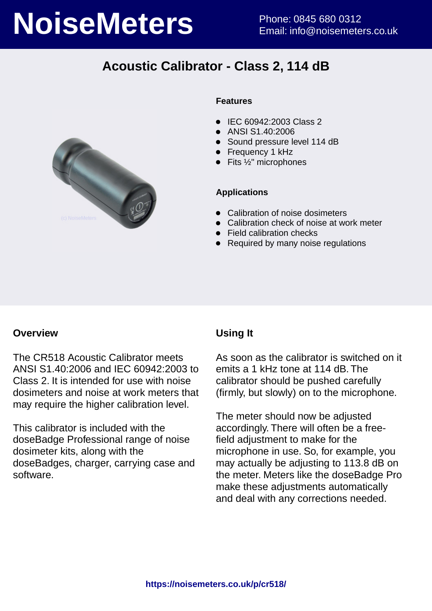# **NoiseMeters** Phone: 0845 680 0312

# **Acoustic Calibrator - Class 2, 114 dB**



### **Features**

- IEC 60942:2003 Class 2
- ANSI S1.40:2006
- Sound pressure level 114 dB
- **•** Frequency 1 kHz
- $\bullet$  Fits  $\frac{1}{2}$ " microphones

### **Applications**

- Calibration of noise dosimeters
- Calibration check of noise at work meter
- Field calibration checks
- Required by many noise regulations

### **Overview**

The CR518 Acoustic Calibrator meets ANSI S1.40:2006 and IEC 60942:2003 to Class 2. It is intended for use with noise dosimeters and noise at work meters that may require the higher calibration level.

This calibrator is included with the doseBadge Professional range of noise dosimeter kits, along with the doseBadges, charger, carrying case and software.

### **Using It**

As soon as the calibrator is switched on it emits a 1 kHz tone at 114 dB. The calibrator should be pushed carefully (firmly, but slowly) on to the microphone.

The meter should now be adjusted accordingly. There will often be a freefield adjustment to make for the microphone in use. So, for example, you may actually be adjusting to 113.8 dB on the meter. Meters like the doseBadge Pro make these adjustments automatically and deal with any corrections needed.